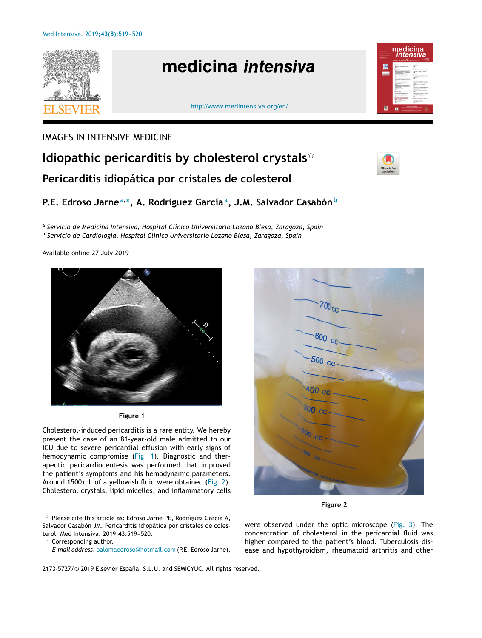

## IMAGES IN INTENSIVE MEDICINE

# **Idiopathic pericarditis by cholesterol crystals**-**Pericarditis idiopática por cristales de colesterol**

# **P.E. Edroso Jarne<sup>a</sup>**,<sup>∗</sup> **, A. Rodríguez García<sup>a</sup> , J.M. Salvador Casabón<sup>b</sup>**

a *Servicio de Medicina Intensiva, Hospital Clínico Universitario Lozano Blesa, Zaragoza, Spain* b *Servicio de Cardiología, Hospital Clínico Universitario Lozano Blesa, Zaragoza, Spain*

Available online 27 July 2019





Cholesterol-induced pericarditis is a rare entity. We hereby present the case of an 81-year-old male admitted to our ICU due to severe pericardial effusion with early signs of hemodynamic compromise (Fig. 1). Diagnostic and therapeutic pericardiocentesis was performed that improved the patient's symptoms and his hemodynamic parameters. Around 1500 mL of a yellowish fluid were obtained (Fig. 2)*.* Cholesterol crystals, lipid micelles, and inflammatory cells

<sup>∗</sup> Corresponding author.



**Figure 2**

were observed under the optic microscope [\(Fig.](#page-1-0) 3)*.* The concentration of cholesterol in the pericardial fluid was higher compared to the patient's blood. Tuberculosis disease and hypothyroidism, rheumatoid arthritis and other

 $\mathrm{\star}\,$  Please cite this article as: Edroso Jarne PE, Rodríguez García A, Salvador Casabón JM. Pericarditis idiopática por cristales de colesterol. Med Intensiva. 2019;43:519-520.

*E-mail address:* [palomaedroso@hotmail.com](mailto:palomaedroso@hotmail.com) (P.E. Edroso Jarne).

<sup>2173-5727/© 2019</sup> Elsevier España, S.L.U. and SEMICYUC. All rights reserved.